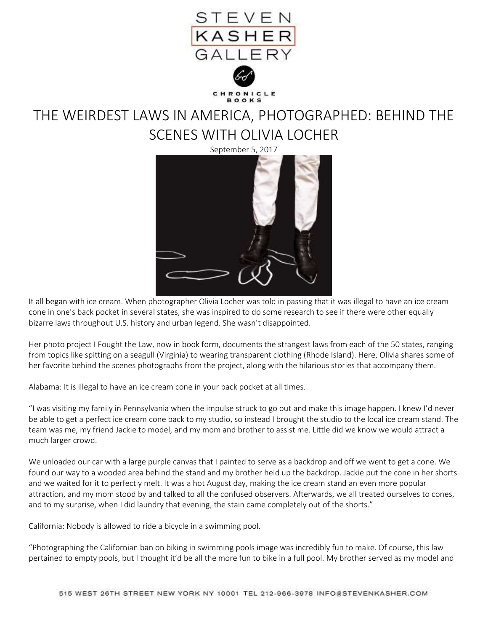

THE WEIRDEST LAWS IN AMERICA, PHOTOGRAPHED: BEHIND THE SCENES WITH OLIVIA LOCHER



It all began with ice cream. When photographer Olivia Locher was told in passing that it was illegal to have an ice cream cone in one's back pocket in several states, she was inspired to do some research to see if there were other equally bizarre laws throughout U.S. history and urban legend. She wasn't disappointed.

Her photo project I Fought the Law, now in book form, documents the strangest laws from each of the 50 states, ranging from topics like spitting on a seagull (Virginia) to wearing transparent clothing (Rhode Island). Here, Olivia shares some of her favorite behind the scenes photographs from the project, along with the hilarious stories that accompany them.

Alabama: It is illegal to have an ice cream cone in your back pocket at all times.

"I was visiting my family in Pennsylvania when the impulse struck to go out and make this image happen. I knew I'd never be able to get a perfect ice cream cone back to my studio, so instead I brought the studio to the local ice cream stand. The team was me, my friend Jackie to model, and my mom and brother to assist me. Little did we know we would attract a much larger crowd.

We unloaded our car with a large purple canvas that I painted to serve as a backdrop and off we went to get a cone. We found our way to a wooded area behind the stand and my brother held up the backdrop. Jackie put the cone in her shorts and we waited for it to perfectly melt. It was a hot August day, making the ice cream stand an even more popular attraction, and my mom stood by and talked to all the confused observers. Afterwards, we all treated ourselves to cones, and to my surprise, when I did laundry that evening, the stain came completely out of the shorts."

California: Nobody is allowed to ride a bicycle in a swimming pool.

"Photographing the Californian ban on biking in swimming pools image was incredibly fun to make. Of course, this law pertained to empty pools, but I thought it'd be all the more fun to bike in a full pool. My brother served as my model and